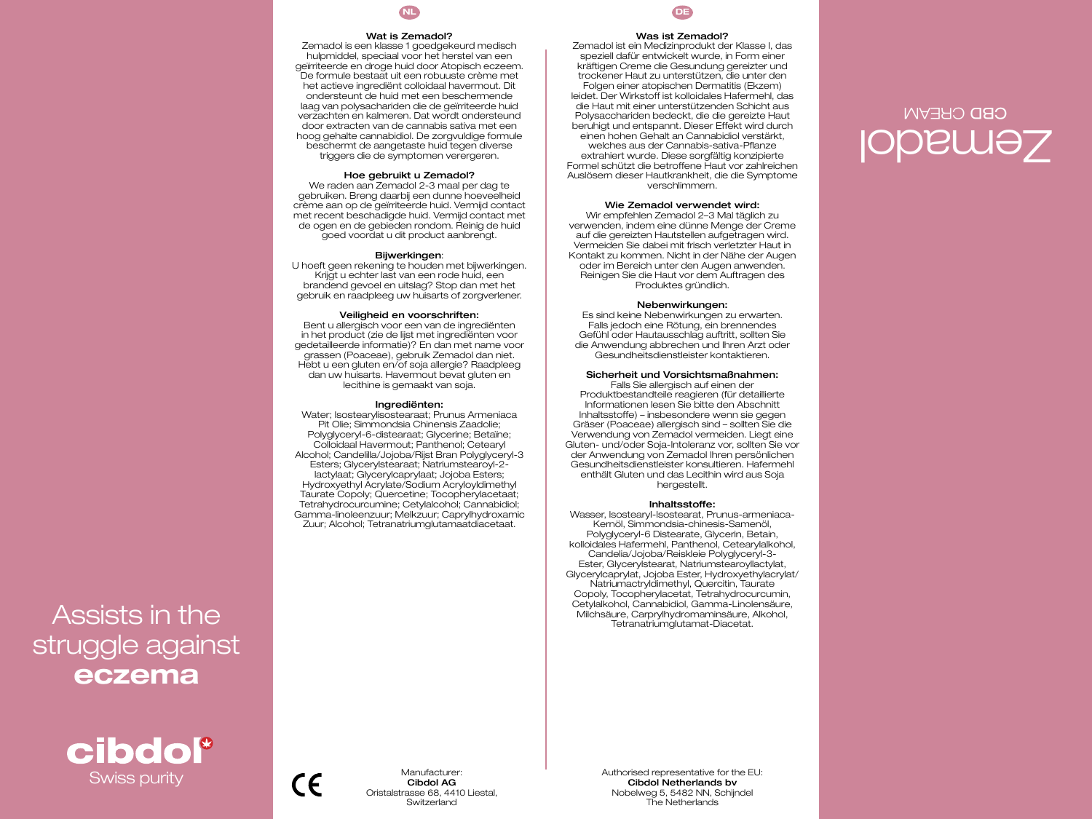

#### Wat is Zemadol?

Zemadol is een klasse 1 goedgekeurd medisch hulpmiddel, speciaal voor het herstel van een geïrriteerde en droge huid door Atopisch eczeem. De formule bestaat uit een robuuste crème met het actieve ingrediënt colloidaal havermout. Dit ondersteunt de huid met een beschermende laag van polysachariden die de geïrriteerde huid verzachten en kalmeren. Dat wordt ondersteund door extracten van de cannabis sativa met een hoog gehalte cannabidiol. De zorgvuldige formule beschermt de aangetaste huid tegen diverse triggers die de symptomen verergeren.

#### Hoe gebruikt u Zemadol?

We raden aan Zemadol 2-3 maal per dag te gebruiken. Breng daarbij een dunne hoeveelheid crème aan op de geïrriteerde huid. Vermijd contact met recent beschadigde huid. Vermijd contact met de ogen en de gebieden rondom. Reinig de huid goed voordat u dit product aanbrengt.

#### Bijwerkingen:

U hoeft geen rekening te houden met bijwerkingen. Krijgt u echter last van een rode huid, een brandend gevoel en uitslag? Stop dan met het gebruik en raadpleeg uw huisarts of zorgverlener.

#### Veiligheid en voorschriften:

Bent u allergisch voor een van de ingrediënten in het product (zie de lijst met ingrediënten voor gedetailleerde informatie)? En dan met name voor grassen (Poaceae), gebruik Zemadol dan niet. Hebt u een gluten en/of soja allergie? Raadpleeg dan uw huisarts. Havermout bevat gluten en lecithine is gemaakt van soja.

#### Ingrediënten:

Water; Isostearylisostearaat; Prunus Armeniaca Pit Olie; Simmondsia Chinensis Zaadolie; Polyglyceryl-6-distearaat; Glycerine; Betaïne; Colloidaal Havermout; Panthenol; Cetearyl Alcohol; Candelilla/Jojoba/Rijst Bran Polyglyceryl-3 Esters; Glycerylstearaat; Natriumstearoyl-2 lactylaat; Glycerylcaprylaat; Jojoba Esters; Hydroxyethyl Acrylate/Sodium Acryloyldimethyl Taurate Copoly; Quercetine; Tocopherylacetaat; Tetrahydrocurcumine; Cetylalcohol; Cannabidiol; Gamma-linoleenzuur; Melkzuur; Caprylhydroxamic Zuur; Alcohol; Tetranatriumglutamaatdiacetaat.



## Was ist Zemadol?

Zemadol ist ein Medizinprodukt der Klasse I, das speziell dafür entwickelt wurde, in Form einer kräftigen Creme die Gesundung gereizter und trockener Haut zu unterstützen, die unter den Folgen einer atopischen Dermatitis (Ekzem) leidet. Der Wirkstoff ist kolloidales Hafermehl, das die Haut mit einer unterstützenden Schicht aus Polysacchariden bedeckt, die die gereizte Haut beruhigt und entspannt. Dieser Effekt wird durch einen hohen Gehalt an Cannabidiol verstärkt, welches aus der Cannabis-sativa-Pflanze extrahiert wurde. Diese sorgfältig konzipierte Formel schützt die betroffene Haut vor zahlreichen Auslösern dieser Hautkrankheit, die die Symptome verschlimmern.

## Wie Zemadol verwendet wird:

Wir empfehlen Zemadol 2–3 Mal täglich zu verwenden, indem eine dünne Menge der Creme auf die gereizten Hautstellen aufgetragen wird. Vermeiden Sie dabei mit frisch verletzter Haut in Kontakt zu kommen. Nicht in der Nähe der Augen oder im Bereich unter den Augen anwenden. Reinigen Sie die Haut vor dem Auftragen des Produktes gründlich.

#### Nebenwirkungen:

Es sind keine Nebenwirkungen zu erwarten. Falls jedoch eine Rötung, ein brennendes Gefühl oder Hautausschlag auftritt, sollten Sie die Anwendung abbrechen und Ihren Arzt oder Gesundheitsdienstleister kontaktieren.

## Sicherheit und Vorsichtsmaßnahmen:

Falls Sie allergisch auf einen der Produktbestandteile reagieren (für detaillierte Informationen lesen Sie bitte den Abschnitt Inhaltsstoffe) – insbesondere wenn sie gegen Gräser (Poaceae) allergisch sind – sollten Sie die Verwendung von Zemadol vermeiden. Liegt eine Gluten- und/oder Soja-Intoleranz vor, sollten Sie vor der Anwendung von Zemadol Ihren persönlichen Gesundheitsdienstleister konsultieren. Hafermehl enthält Gluten und das Lecithin wird aus Soja hergestellt.

#### Inhaltsstoffe:

Wasser, Isostearyl-Isostearat, Prunus-armeniaca-Kernöl, Simmondsia-chinesis-Samenöl, Polyglyceryl-6 Distearate, Glycerin, Betain, kolloidales Hafermehl, Panthenol, Cetearylalkohol, Candelia/Jojoba/Reiskleie Polyglyceryl-3- Ester, Glycerylstearat, Natriumstearoyllactylat, Glycerylcaprylat, Jojoba Ester, Hydroxyethylacrylat/ Natriumactryldimethyl, Quercitin, Taurate Copoly, Tocopherylacetat, Tetrahydrocurcumin, Cetylalkohol, Cannabidiol, Gamma-Linolensäure, Milchsäure, Carprylhydromaminsäure, Alkohol, Tetranatriumglutamat-Diacetat.

# Assists in the struggle against eczema



Manufacturer: Cibdol AG Oristalstrasse 68, 4410 Liestal, Switzerland

Swiss purity Manufacturer: Manufacturer: Authorised representative for the EU:<br>Chicago Contentation Contents and Contents in the Current of the Authorise of the Authorise of the Authorise of the Authorise of the Authorise Cibdol Netherlands bv Nobelweg 5, 5482 NN, Schijndel The Netherlands

# emadol Z CREAM CBD